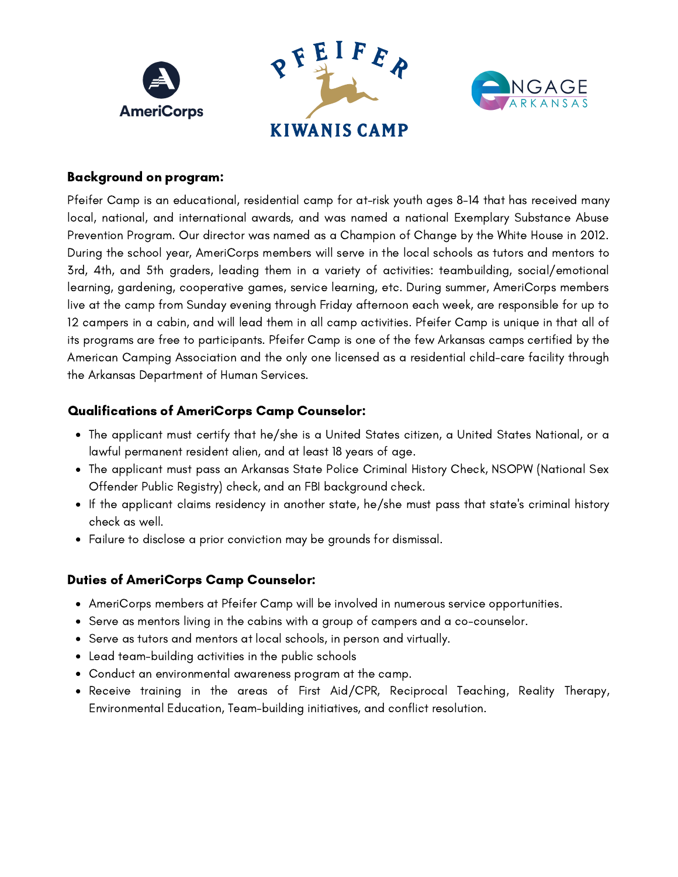

## Background on program:

Pfeifer Camp is an educational, residential camp for at-risk youth ages 8-14 that has received many local, national, and international awards, and was named a national Exemplary Substance Abuse Prevention Program. Our director was named as a Champion of Change by the White House in 2012. During the school year, AmeriCorps members will serve in the local schools as tutors and mentors to 3rd, 4th, and 5th graders, leading them in a variety of activities: teambuilding, social/emotional learning, gardening, cooperative games, service learning, etc. During summer, AmeriCorps members live at the camp from Sunday evening through Friday afternoon each week, are responsible for up to 12 campers in a cabin, and will lead them in all camp activities. Pfeifer Camp is unique in that all of its programs are free to participants. Pfeifer Camp is one of the few Arkansas camps certified by the American Camping Association and the only one licensed as a residential child-care facility through the Arkansas Department of Human Services.

## Qualifications of AmeriCorps Camp Counselor:

- The applicant must certify that he/she is a United States citizen, a United States National, or a lawful permanent resident alien, and at least 18 years of age.
- The applicant must pass an Arkansas State Police Criminal History Check, NSOPW (National Sex Offender Public Registry) check, and an FBI background check.
- If the applicant claims residency in another state, he/she must pass that state's criminal history check as well.
- Failure to disclose a prior conviction may be grounds for dismissal.

## Duties of AmeriCorps Camp Counselor:

- AmeriCorps members at Pfeifer Camp will be involved in numerous service opportunities.
- Serve as mentors living in the cabins with a group of campers and a co-counselor.
- Serve as tutors and mentors at local schools, in person and virtually.
- Lead team-building activities in the public schools
- Conduct an environmental awareness program at the camp.
- Receive training in the areas of First Aid/CPR, Reciprocal Teaching, Reality Therapy, Environmental Education, Team-building initiatives, and conflict resolution.